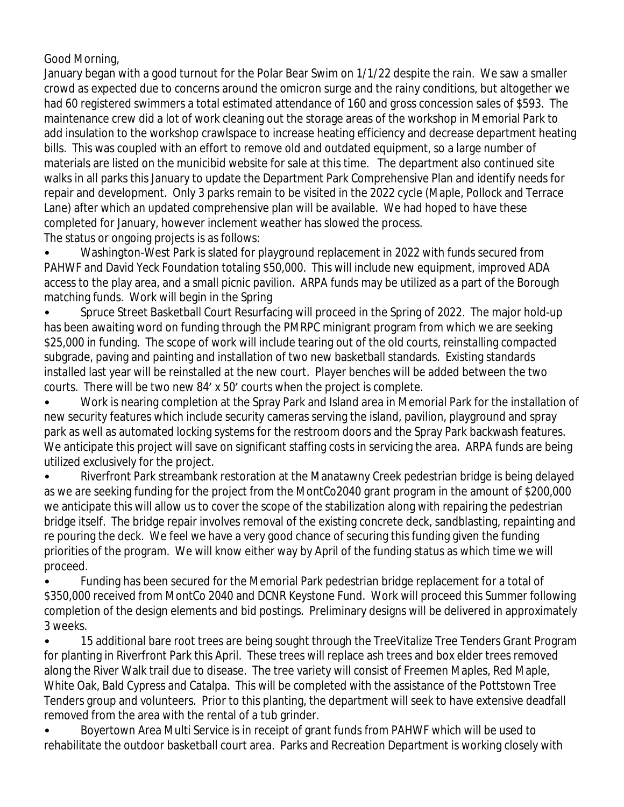## Good Morning,

January began with a good turnout for the Polar Bear Swim on 1/1/22 despite the rain. We saw a smaller crowd as expected due to concerns around the omicron surge and the rainy conditions, but altogether we had 60 registered swimmers a total estimated attendance of 160 and gross concession sales of \$593. The maintenance crew did a lot of work cleaning out the storage areas of the workshop in Memorial Park to add insulation to the workshop crawlspace to increase heating efficiency and decrease department heating bills. This was coupled with an effort to remove old and outdated equipment, so a large number of materials are listed on the municibid website for sale at this time. The department also continued site walks in all parks this January to update the Department Park Comprehensive Plan and identify needs for repair and development. Only 3 parks remain to be visited in the 2022 cycle (Maple, Pollock and Terrace Lane) after which an updated comprehensive plan will be available. We had hoped to have these completed for January, however inclement weather has slowed the process.

The status or ongoing projects is as follows:

• Washington-West Park is slated for playground replacement in 2022 with funds secured from PAHWF and David Yeck Foundation totaling \$50,000. This will include new equipment, improved ADA access to the play area, and a small picnic pavilion. ARPA funds may be utilized as a part of the Borough matching funds. Work will begin in the Spring

• Spruce Street Basketball Court Resurfacing will proceed in the Spring of 2022. The major hold-up has been awaiting word on funding through the PMRPC minigrant program from which we are seeking \$25,000 in funding. The scope of work will include tearing out of the old courts, reinstalling compacted subgrade, paving and painting and installation of two new basketball standards. Existing standards installed last year will be reinstalled at the new court. Player benches will be added between the two courts. There will be two new 84' x 50' courts when the project is complete.

• Work is nearing completion at the Spray Park and Island area in Memorial Park for the installation of new security features which include security cameras serving the island, pavilion, playground and spray park as well as automated locking systems for the restroom doors and the Spray Park backwash features. We anticipate this project will save on significant staffing costs in servicing the area. ARPA funds are being utilized exclusively for the project.

• Riverfront Park streambank restoration at the Manatawny Creek pedestrian bridge is being delayed as we are seeking funding for the project from the MontCo2040 grant program in the amount of \$200,000 we anticipate this will allow us to cover the scope of the stabilization along with repairing the pedestrian bridge itself. The bridge repair involves removal of the existing concrete deck, sandblasting, repainting and re pouring the deck. We feel we have a very good chance of securing this funding given the funding priorities of the program. We will know either way by April of the funding status as which time we will proceed.

• Funding has been secured for the Memorial Park pedestrian bridge replacement for a total of \$350,000 received from MontCo 2040 and DCNR Keystone Fund. Work will proceed this Summer following completion of the design elements and bid postings. Preliminary designs will be delivered in approximately 3 weeks.

• 15 additional bare root trees are being sought through the TreeVitalize Tree Tenders Grant Program for planting in Riverfront Park this April. These trees will replace ash trees and box elder trees removed along the River Walk trail due to disease. The tree variety will consist of Freemen Maples, Red Maple, White Oak, Bald Cypress and Catalpa. This will be completed with the assistance of the Pottstown Tree Tenders group and volunteers. Prior to this planting, the department will seek to have extensive deadfall removed from the area with the rental of a tub grinder.

• Boyertown Area Multi Service is in receipt of grant funds from PAHWF which will be used to rehabilitate the outdoor basketball court area. Parks and Recreation Department is working closely with